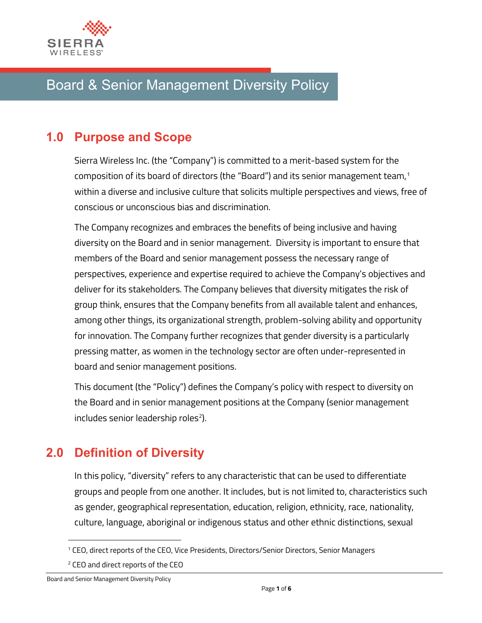

# Board & Senior Management Diversity Policy

### **1.0 Purpose and Scope**

Sierra Wireless Inc. (the "Company") is committed to a merit-based system for the composition of its board of directors (the "Board") and its senior management team, [1](#page-0-0) within a diverse and inclusive culture that solicits multiple perspectives and views, free of conscious or unconscious bias and discrimination.

The Company recognizes and embraces the benefits of being inclusive and having diversity on the Board and in senior management. Diversity is important to ensure that members of the Board and senior management possess the necessary range of perspectives, experience and expertise required to achieve the Company's objectives and deliver for its stakeholders. The Company believes that diversity mitigates the risk of group think, ensures that the Company benefits from all available talent and enhances, among other things, its organizational strength, problem-solving ability and opportunity for innovation. The Company further recognizes that gender diversity is a particularly pressing matter, as women in the technology sector are often under-represented in board and senior management positions.

This document (the "Policy") defines the Company's policy with respect to diversity on the Board and in senior management positions at the Company (senior management  $includes$  senior leadership roles<sup>2</sup>).

### **2.0 Definition of Diversity**

In this policy, "diversity" refers to any characteristic that can be used to differentiate groups and people from one another. It includes, but is not limited to, characteristics such as gender, geographical representation, education, religion, ethnicity, race, nationality, culture, language, aboriginal or indigenous status and other ethnic distinctions, sexual

<span id="page-0-0"></span><sup>1</sup> CEO, direct reports of the CEO, Vice Presidents, Directors/Senior Directors, Senior Managers

<span id="page-0-1"></span><sup>2</sup> CEO and direct reports of the CEO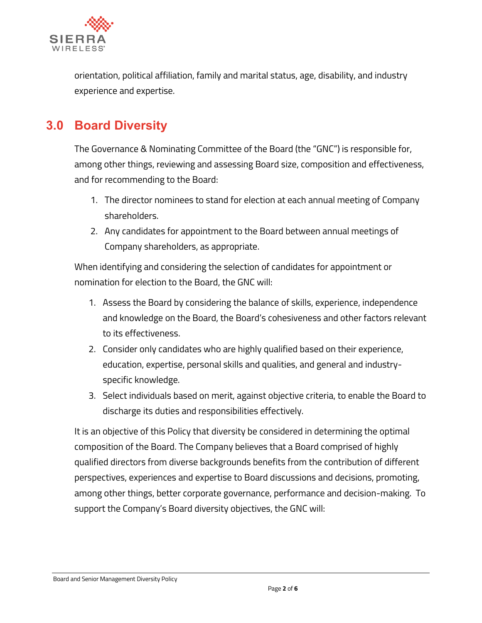

orientation, political affiliation, family and marital status, age, disability, and industry experience and expertise.

### **3.0 Board Diversity**

The Governance & Nominating Committee of the Board (the "GNC") is responsible for, among other things, reviewing and assessing Board size, composition and effectiveness, and for recommending to the Board:

- 1. The director nominees to stand for election at each annual meeting of Company shareholders.
- 2. Any candidates for appointment to the Board between annual meetings of Company shareholders, as appropriate.

When identifying and considering the selection of candidates for appointment or nomination for election to the Board, the GNC will:

- 1. Assess the Board by considering the balance of skills, experience, independence and knowledge on the Board, the Board's cohesiveness and other factors relevant to its effectiveness.
- 2. Consider only candidates who are highly qualified based on their experience, education, expertise, personal skills and qualities, and general and industryspecific knowledge.
- 3. Select individuals based on merit, against objective criteria, to enable the Board to discharge its duties and responsibilities effectively.

It is an objective of this Policy that diversity be considered in determining the optimal composition of the Board. The Company believes that a Board comprised of highly qualified directors from diverse backgrounds benefits from the contribution of different perspectives, experiences and expertise to Board discussions and decisions, promoting, among other things, better corporate governance, performance and decision-making. To support the Company's Board diversity objectives, the GNC will:

#### Board and Senior Management Diversity Policy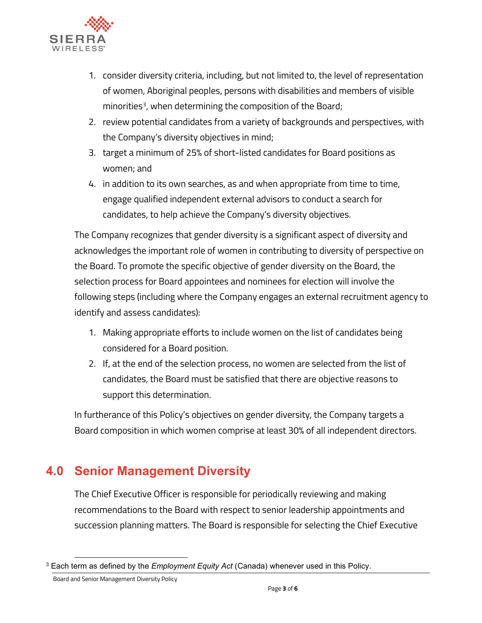

- 1. consider diversity criteria, including, but not limited to, the level of representation of women, Aboriginal peoples, persons with disabilities and members of visible minorities<sup>3</sup>, when determining the composition of the Board;
- 2. review potential candidates from a variety of backgrounds and perspectives, with the Company's diversity objectives in mind;
- 3. target a minimum of 25% of short-listed candidates for Board positions as women; and
- 4. in addition to its own searches, as and when appropriate from time to time, engage qualified independent external advisors to conduct a search for candidates, to help achieve the Company's diversity objectives.

The Company recognizes that gender diversity is a significant aspect of diversity and acknowledges the important role of women in contributing to diversity of perspective on the Board. To promote the specific objective of gender diversity on the Board, the selection process for Board appointees and nominees for election will involve the following steps (including where the Company engages an external recruitment agency to identify and assess candidates):

- 1. Making appropriate efforts to include women on the list of candidates being considered for a Board position.
- 2. If, at the end of the selection process, no women are selected from the list of candidates, the Board must be satisfied that there are objective reasons to support this determination.

In furtherance of this Policy's objectives on gender diversity, the Company targets a Board composition in which women comprise at least 30% of all independent directors.

## **4.0 Senior Management Diversity**

The Chief Executive Officer is responsible for periodically reviewing and making recommendations to the Board with respect to senior leadership appointments and succession planning matters. The Board is responsible for selecting the Chief Executive

<span id="page-2-0"></span><sup>3</sup> Each term as defined by the *Employment Equity Act* (Canada) whenever used in this Policy.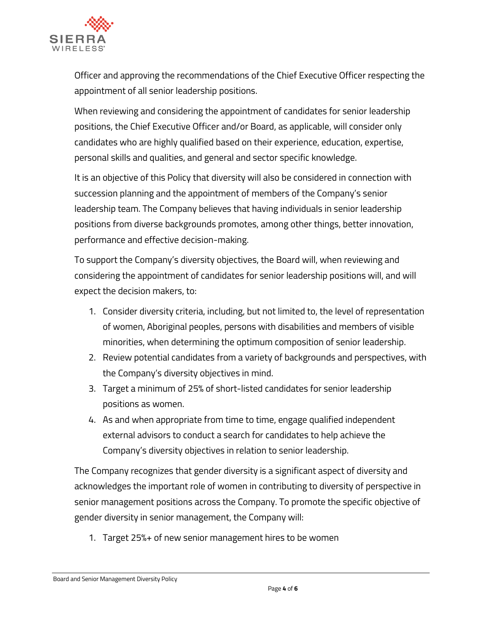

Officer and approving the recommendations of the Chief Executive Officer respecting the appointment of all senior leadership positions.

When reviewing and considering the appointment of candidates for senior leadership positions, the Chief Executive Officer and/or Board, as applicable, will consider only candidates who are highly qualified based on their experience, education, expertise, personal skills and qualities, and general and sector specific knowledge.

It is an objective of this Policy that diversity will also be considered in connection with succession planning and the appointment of members of the Company's senior leadership team. The Company believes that having individuals in senior leadership positions from diverse backgrounds promotes, among other things, better innovation, performance and effective decision-making.

To support the Company's diversity objectives, the Board will, when reviewing and considering the appointment of candidates for senior leadership positions will, and will expect the decision makers, to:

- 1. Consider diversity criteria, including, but not limited to, the level of representation of women, Aboriginal peoples, persons with disabilities and members of visible minorities, when determining the optimum composition of senior leadership.
- 2. Review potential candidates from a variety of backgrounds and perspectives, with the Company's diversity objectives in mind.
- 3. Target a minimum of 25% of short-listed candidates for senior leadership positions as women.
- 4. As and when appropriate from time to time, engage qualified independent external advisors to conduct a search for candidates to help achieve the Company's diversity objectives in relation to senior leadership.

The Company recognizes that gender diversity is a significant aspect of diversity and acknowledges the important role of women in contributing to diversity of perspective in senior management positions across the Company. To promote the specific objective of gender diversity in senior management, the Company will:

1. Target 25%+ of new senior management hires to be women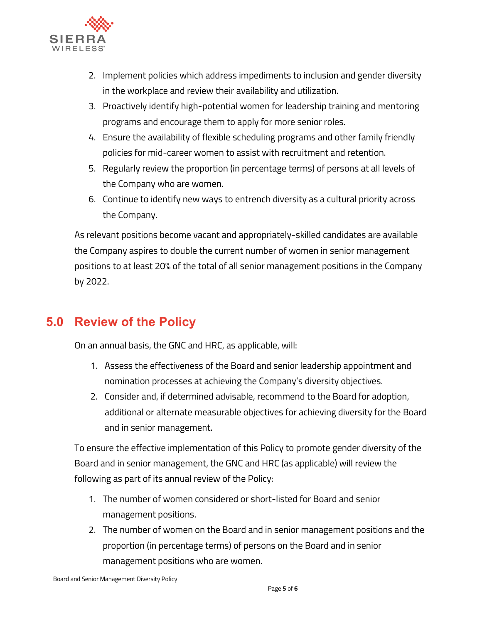

- 2. Implement policies which address impediments to inclusion and gender diversity in the workplace and review their availability and utilization.
- 3. Proactively identify high-potential women for leadership training and mentoring programs and encourage them to apply for more senior roles.
- 4. Ensure the availability of flexible scheduling programs and other family friendly policies for mid-career women to assist with recruitment and retention.
- 5. Regularly review the proportion (in percentage terms) of persons at all levels of the Company who are women.
- 6. Continue to identify new ways to entrench diversity as a cultural priority across the Company.

As relevant positions become vacant and appropriately-skilled candidates are available the Company aspires to double the current number of women in senior management positions to at least 20% of the total of all senior management positions in the Company by 2022.

#### **5.0 Review of the Policy**

On an annual basis, the GNC and HRC, as applicable, will:

- 1. Assess the effectiveness of the Board and senior leadership appointment and nomination processes at achieving the Company's diversity objectives.
- 2. Consider and, if determined advisable, recommend to the Board for adoption, additional or alternate measurable objectives for achieving diversity for the Board and in senior management.

To ensure the effective implementation of this Policy to promote gender diversity of the Board and in senior management, the GNC and HRC (as applicable) will review the following as part of its annual review of the Policy:

- 1. The number of women considered or short-listed for Board and senior management positions.
- 2. The number of women on the Board and in senior management positions and the proportion (in percentage terms) of persons on the Board and in senior management positions who are women.